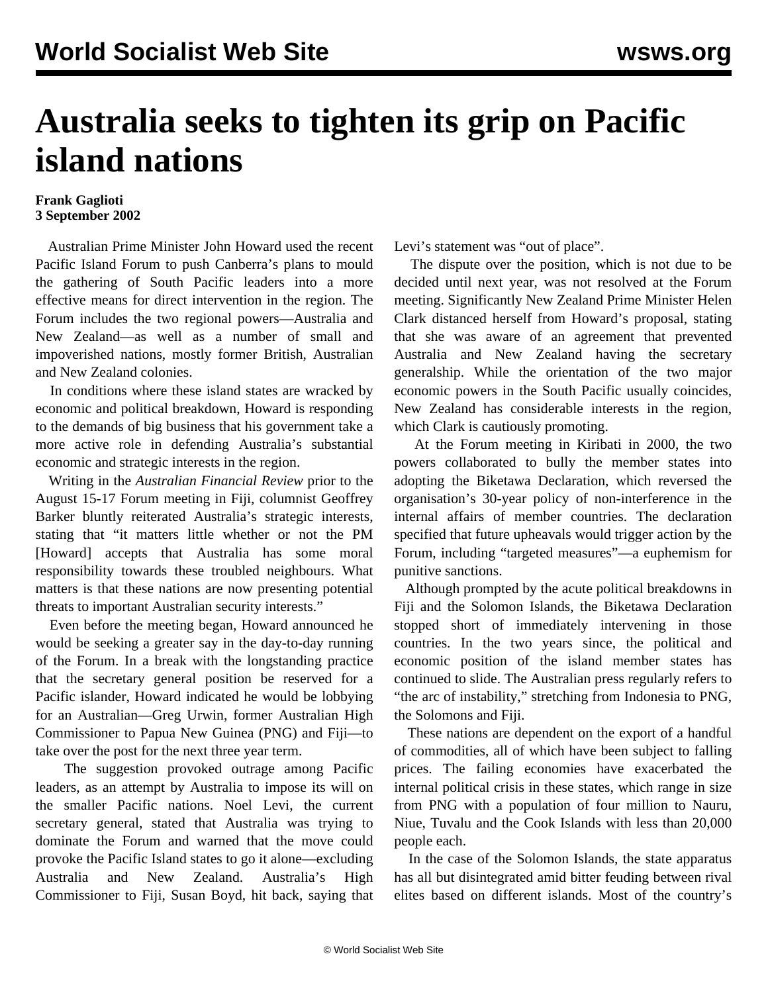## **Australia seeks to tighten its grip on Pacific island nations**

## **Frank Gaglioti 3 September 2002**

 Australian Prime Minister John Howard used the recent Pacific Island Forum to push Canberra's plans to mould the gathering of South Pacific leaders into a more effective means for direct intervention in the region. The Forum includes the two regional powers—Australia and New Zealand—as well as a number of small and impoverished nations, mostly former British, Australian and New Zealand colonies.

 In conditions where these island states are wracked by economic and political breakdown, Howard is responding to the demands of big business that his government take a more active role in defending Australia's substantial economic and strategic interests in the region.

 Writing in the *Australian Financial Review* prior to the August 15-17 Forum meeting in Fiji, columnist Geoffrey Barker bluntly reiterated Australia's strategic interests, stating that "it matters little whether or not the PM [Howard] accepts that Australia has some moral responsibility towards these troubled neighbours. What matters is that these nations are now presenting potential threats to important Australian security interests."

 Even before the meeting began, Howard announced he would be seeking a greater say in the day-to-day running of the Forum. In a break with the longstanding practice that the secretary general position be reserved for a Pacific islander, Howard indicated he would be lobbying for an Australian—Greg Urwin, former Australian High Commissioner to Papua New Guinea (PNG) and Fiji—to take over the post for the next three year term.

 The suggestion provoked outrage among Pacific leaders, as an attempt by Australia to impose its will on the smaller Pacific nations. Noel Levi, the current secretary general, stated that Australia was trying to dominate the Forum and warned that the move could provoke the Pacific Island states to go it alone—excluding Australia and New Zealand. Australia's High Commissioner to Fiji, Susan Boyd, hit back, saying that

Levi's statement was "out of place".

 The dispute over the position, which is not due to be decided until next year, was not resolved at the Forum meeting. Significantly New Zealand Prime Minister Helen Clark distanced herself from Howard's proposal, stating that she was aware of an agreement that prevented Australia and New Zealand having the secretary generalship. While the orientation of the two major economic powers in the South Pacific usually coincides, New Zealand has considerable interests in the region, which Clark is cautiously promoting.

 At the Forum meeting in Kiribati in 2000, the two powers collaborated to bully the member states into adopting the Biketawa Declaration, which reversed the organisation's 30-year policy of non-interference in the internal affairs of member countries. The declaration specified that future upheavals would trigger action by the Forum, including "targeted measures"—a euphemism for punitive sanctions.

 Although prompted by the acute political breakdowns in Fiji and the Solomon Islands, the Biketawa Declaration stopped short of immediately intervening in those countries. In the two years since, the political and economic position of the island member states has continued to slide. The Australian press regularly refers to "the arc of instability," stretching from Indonesia to PNG, the Solomons and Fiji.

 These nations are dependent on the export of a handful of commodities, all of which have been subject to falling prices. The failing economies have exacerbated the internal political crisis in these states, which range in size from PNG with a population of four million to Nauru, Niue, Tuvalu and the Cook Islands with less than 20,000 people each.

 In the case of the Solomon Islands, the state apparatus has all but disintegrated amid bitter feuding between rival elites based on different islands. Most of the country's